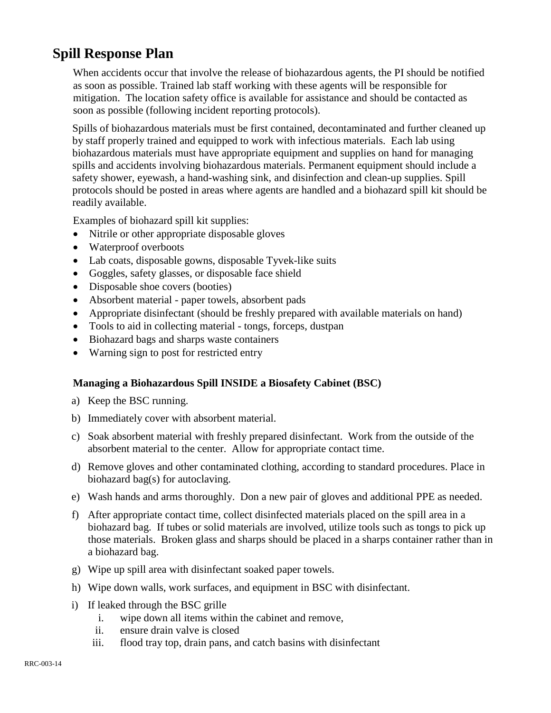## **Spill Response Plan**

When accidents occur that involve the release of biohazardous agents, the PI should be notified as soon as possible. Trained lab staff working with these agents will be responsible for mitigation. The location safety office is available for assistance and should be contacted as soon as possible (following incident reporting protocols).

Spills of biohazardous materials must be first contained, decontaminated and further cleaned up by staff properly trained and equipped to work with infectious materials. Each lab using biohazardous materials must have appropriate equipment and supplies on hand for managing spills and accidents involving biohazardous materials. Permanent equipment should include a safety shower, eyewash, a hand-washing sink, and disinfection and clean-up supplies. Spill protocols should be posted in areas where agents are handled and a biohazard spill kit should be readily available.

Examples of biohazard spill kit supplies:

- Nitrile or other appropriate disposable gloves
- Waterproof overboots
- Lab coats, disposable gowns, disposable Tyvek-like suits
- Goggles, safety glasses, or disposable face shield
- Disposable shoe covers (booties)
- Absorbent material paper towels, absorbent pads
- Appropriate disinfectant (should be freshly prepared with available materials on hand)
- Tools to aid in collecting material tongs, forceps, dustpan
- Biohazard bags and sharps waste containers
- Warning sign to post for restricted entry

## **Managing a Biohazardous Spill INSIDE a Biosafety Cabinet (BSC)**

- a) Keep the BSC running.
- b) Immediately cover with absorbent material.
- c) Soak absorbent material with freshly prepared disinfectant. Work from the outside of the absorbent material to the center. Allow for appropriate contact time.
- d) Remove gloves and other contaminated clothing, according to standard procedures. Place in biohazard bag(s) for autoclaving.
- e) Wash hands and arms thoroughly. Don a new pair of gloves and additional PPE as needed.
- f) After appropriate contact time, collect disinfected materials placed on the spill area in a biohazard bag. If tubes or solid materials are involved, utilize tools such as tongs to pick up those materials. Broken glass and sharps should be placed in a sharps container rather than in a biohazard bag.
- g) Wipe up spill area with disinfectant soaked paper towels.
- h) Wipe down walls, work surfaces, and equipment in BSC with disinfectant.
- i) If leaked through the BSC grille
	- i. wipe down all items within the cabinet and remove,
	- ii. ensure drain valve is closed
	- iii. flood tray top, drain pans, and catch basins with disinfectant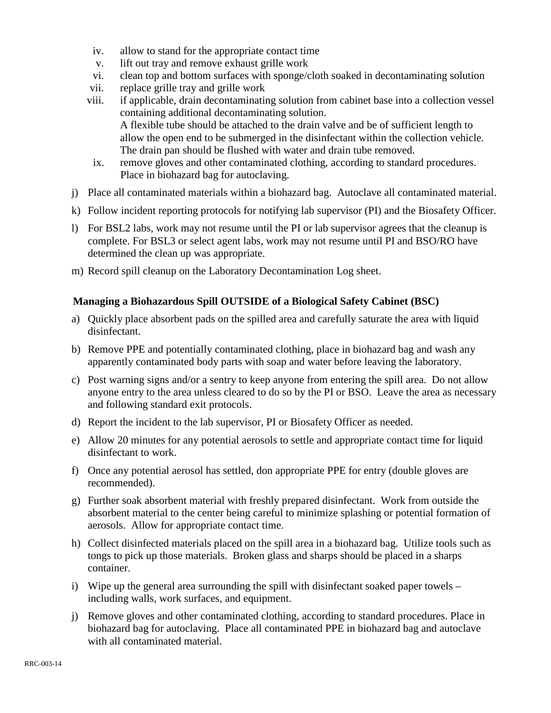- iv. allow to stand for the appropriate contact time
- v. lift out tray and remove exhaust grille work
- vi. clean top and bottom surfaces with sponge/cloth soaked in decontaminating solution
- vii. replace grille tray and grille work
- viii. if applicable, drain decontaminating solution from cabinet base into a collection vessel containing additional decontaminating solution. A flexible tube should be attached to the drain valve and be of sufficient length to allow the open end to be submerged in the disinfectant within the collection vehicle. The drain pan should be flushed with water and drain tube removed.
- ix. remove gloves and other contaminated clothing, according to standard procedures. Place in biohazard bag for autoclaving.
- j) Place all contaminated materials within a biohazard bag. Autoclave all contaminated material.
- k) Follow incident reporting protocols for notifying lab supervisor (PI) and the Biosafety Officer.
- l) For BSL2 labs, work may not resume until the PI or lab supervisor agrees that the cleanup is complete. For BSL3 or select agent labs, work may not resume until PI and BSO/RO have determined the clean up was appropriate.
- m) Record spill cleanup on the Laboratory Decontamination Log sheet.

## **Managing a Biohazardous Spill OUTSIDE of a Biological Safety Cabinet (BSC)**

- a) Quickly place absorbent pads on the spilled area and carefully saturate the area with liquid disinfectant.
- b) Remove PPE and potentially contaminated clothing, place in biohazard bag and wash any apparently contaminated body parts with soap and water before leaving the laboratory.
- c) Post warning signs and/or a sentry to keep anyone from entering the spill area. Do not allow anyone entry to the area unless cleared to do so by the PI or BSO. Leave the area as necessary and following standard exit protocols.
- d) Report the incident to the lab supervisor, PI or Biosafety Officer as needed.
- e) Allow 20 minutes for any potential aerosols to settle and appropriate contact time for liquid disinfectant to work.
- f) Once any potential aerosol has settled, don appropriate PPE for entry (double gloves are recommended).
- g) Further soak absorbent material with freshly prepared disinfectant. Work from outside the absorbent material to the center being careful to minimize splashing or potential formation of aerosols. Allow for appropriate contact time.
- h) Collect disinfected materials placed on the spill area in a biohazard bag. Utilize tools such as tongs to pick up those materials. Broken glass and sharps should be placed in a sharps container.
- i) Wipe up the general area surrounding the spill with disinfectant soaked paper towels including walls, work surfaces, and equipment.
- j) Remove gloves and other contaminated clothing, according to standard procedures. Place in biohazard bag for autoclaving. Place all contaminated PPE in biohazard bag and autoclave with all contaminated material.